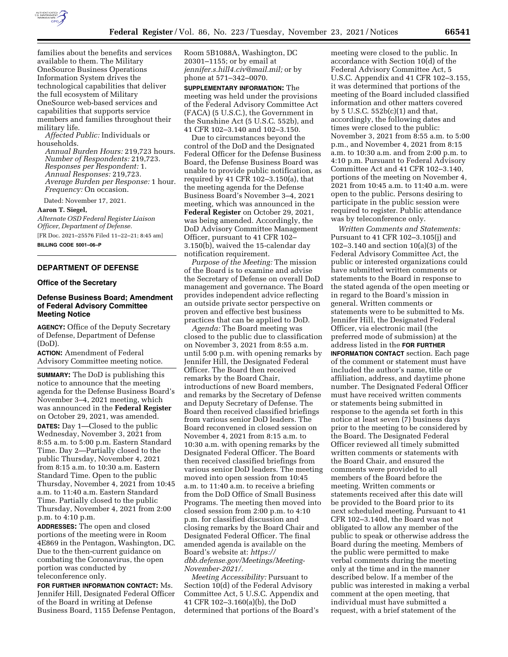

families about the benefits and services available to them. The Military OneSource Business Operations Information System drives the technological capabilities that deliver the full ecosystem of Military OneSource web-based services and capabilities that supports service members and families throughout their military life.

*Affected Public:* Individuals or households.

*Annual Burden Hours:* 219,723 hours. *Number of Respondents:* 219,723. *Responses per Respondent:* 1. *Annual Responses:* 219,723. *Average Burden per Response:* 1 hour. *Frequency:* On occasion.

Dated: November 17, 2021.

**Aaron T. Siegel,** 

*Alternate OSD Federal Register Liaison Officer, Department of Defense.*  [FR Doc. 2021–25576 Filed 11–22–21; 8:45 am]

**BILLING CODE 5001–06–P** 

# **DEPARTMENT OF DEFENSE**

#### **Office of the Secretary**

### **Defense Business Board; Amendment of Federal Advisory Committee Meeting Notice**

**AGENCY:** Office of the Deputy Secretary of Defense, Department of Defense (DoD).

**ACTION:** Amendment of Federal Advisory Committee meeting notice.

**SUMMARY:** The DoD is publishing this notice to announce that the meeting agenda for the Defense Business Board's November 3–4, 2021 meeting, which was announced in the **Federal Register**  on October 29, 2021, was amended. **DATES:** Day 1—Closed to the public Wednesday, November 3, 2021 from 8:55 a.m. to 5:00 p.m. Eastern Standard Time. Day 2—Partially closed to the public Thursday, November 4, 2021 from 8:15 a.m. to 10:30 a.m. Eastern Standard Time. Open to the public Thursday, November 4, 2021 from 10:45 a.m. to 11:40 a.m. Eastern Standard Time. Partially closed to the public Thursday, November 4, 2021 from 2:00 p.m. to 4:10 p.m.

**ADDRESSES:** The open and closed portions of the meeting were in Room 4E869 in the Pentagon, Washington, DC. Due to the then-current guidance on combating the Coronavirus, the open portion was conducted by teleconference only.

**FOR FURTHER INFORMATION CONTACT:** Ms. Jennifer Hill, Designated Federal Officer of the Board in writing at Defense Business Board, 1155 Defense Pentagon, Room 5B1088A, Washington, DC 20301–1155; or by email at *[jennifer.s.hill4.civ@mail.mil;](mailto:jennifer.s.hill4.civ@mail.mil)* or by phone at 571–342–0070.

**SUPPLEMENTARY INFORMATION:** The meeting was held under the provisions of the Federal Advisory Committee Act (FACA) (5 U.S.C.), the Government in the Sunshine Act (5 U.S.C. 552b), and 41 CFR 102–3.140 and 102–3.150.

Due to circumstances beyond the control of the DoD and the Designated Federal Officer for the Defense Business Board, the Defense Business Board was unable to provide public notification, as required by 41 CFR 102–3.150(a), that the meeting agenda for the Defense Business Board's November 3–4, 2021 meeting, which was announced in the **Federal Register** on October 29, 2021, was being amended. Accordingly, the DoD Advisory Committee Management Officer, pursuant to 41 CFR 102– 3.150(b), waived the 15-calendar day notification requirement.

*Purpose of the Meeting:* The mission of the Board is to examine and advise the Secretary of Defense on overall DoD management and governance. The Board provides independent advice reflecting an outside private sector perspective on proven and effective best business practices that can be applied to DoD.

*Agenda:* The Board meeting was closed to the public due to classification on November 3, 2021 from 8:55 a.m. until 5:00 p.m. with opening remarks by Jennifer Hill, the Designated Federal Officer. The Board then received remarks by the Board Chair, introductions of new Board members, and remarks by the Secretary of Defense and Deputy Secretary of Defense. The Board then received classified briefings from various senior DoD leaders. The Board reconvened in closed session on November 4, 2021 from 8:15 a.m. to 10:30 a.m. with opening remarks by the Designated Federal Officer. The Board then received classified briefings from various senior DoD leaders. The meeting moved into open session from 10:45 a.m. to 11:40 a.m. to receive a briefing from the DoD Office of Small Business Programs. The meeting then moved into closed session from 2:00 p.m. to 4:10 p.m. for classified discussion and closing remarks by the Board Chair and Designated Federal Officer. The final amended agenda is available on the Board's website at: *[https://](https://dbb.defense.gov/Meetings/Meeting-November-2021/) [dbb.defense.gov/Meetings/Meeting-](https://dbb.defense.gov/Meetings/Meeting-November-2021/)[November-2021/.](https://dbb.defense.gov/Meetings/Meeting-November-2021/)* 

*Meeting Accessibility:* Pursuant to Section 10(d) of the Federal Advisory Committee Act, 5 U.S.C. Appendix and 41 CFR 102–3.160(a)(b), the DoD determined that portions of the Board's

meeting were closed to the public. In accordance with Section 10(d) of the Federal Advisory Committee Act, 5 U.S.C. Appendix and 41 CFR 102–3.155, it was determined that portions of the meeting of the Board included classified information and other matters covered by 5 U.S.C. 552b(c)(1) and that, accordingly, the following dates and times were closed to the public: November 3, 2021 from 8:55 a.m. to 5:00 p.m., and November 4, 2021 from 8:15 a.m. to 10:30 a.m. and from 2:00 p.m. to 4:10 p.m. Pursuant to Federal Advisory Committee Act and 41 CFR 102–3.140, portions of the meeting on November 4, 2021 from 10:45 a.m. to 11:40 a.m. were open to the public. Persons desiring to participate in the public session were required to register. Public attendance was by teleconference only.

*Written Comments and Statements:*  Pursuant to 41 CFR 102–3.105(j) and 102–3.140 and section 10(a)(3) of the Federal Advisory Committee Act, the public or interested organizations could have submitted written comments or statements to the Board in response to the stated agenda of the open meeting or in regard to the Board's mission in general. Written comments or statements were to be submitted to Ms. Jennifer Hill, the Designated Federal Officer, via electronic mail (the preferred mode of submission) at the address listed in the **FOR FURTHER INFORMATION CONTACT** section. Each page of the comment or statement must have included the author's name, title or affiliation, address, and daytime phone number. The Designated Federal Officer must have received written comments or statements being submitted in response to the agenda set forth in this notice at least seven (7) business days prior to the meeting to be considered by the Board. The Designated Federal Officer reviewed all timely submitted written comments or statements with the Board Chair, and ensured the comments were provided to all members of the Board before the meeting. Written comments or statements received after this date will be provided to the Board prior to its next scheduled meeting. Pursuant to 41 CFR 102–3.140d, the Board was not obligated to allow any member of the public to speak or otherwise address the Board during the meeting. Members of the public were permitted to make verbal comments during the meeting only at the time and in the manner described below. If a member of the public was interested in making a verbal comment at the open meeting, that individual must have submitted a request, with a brief statement of the